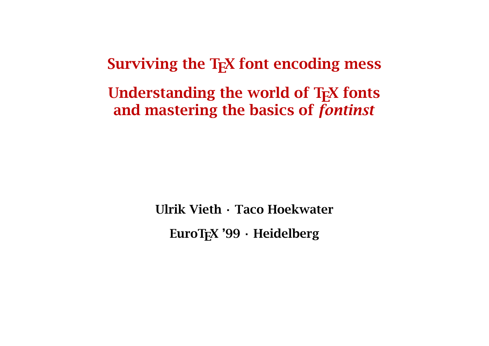Surviving the T<sub>F</sub>X font encoding mess

Understanding the world of T<sub>F</sub>X fonts and mastering the basics of *fontinst*

> Ulrik Vieth · Taco Hoekwater EuroT<sub>F</sub>X '99 · Heidelberg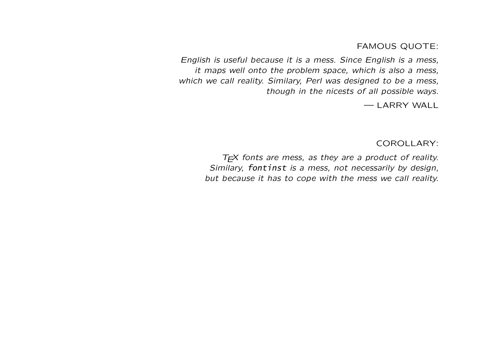FAMOUS QUOTE:

English is useful because it is a mess. Since English is a mess, it maps well onto the problem space, which is also a mess, which we call reality. Similary, Perl was designed to be a mess, though in the nicests of all possible ways.

— LARRY WALL

COROLLARY:

 $T<sub>F</sub>$ X fonts are mess, as they are a product of reality. Similary, fontinst is a mess, not necessarily by design, but because it has to cope with the mess we call reality.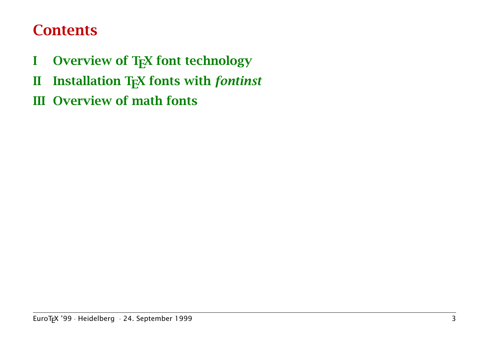# **Contents**

- I Overview of T<sub>F</sub>X font technology
- II Installation TEX fonts with *fontinst*
- III Overview of math fonts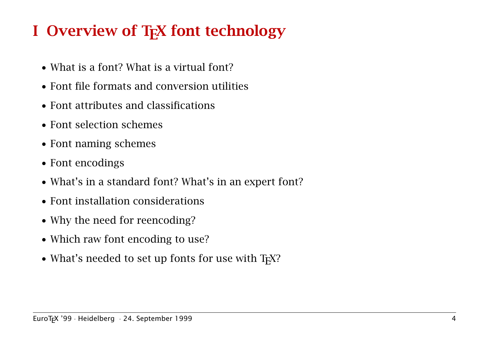# I Overview of T<sub>F</sub>X font technology

- What is a font? What is a virtual font?
- Font file formats and conversion utilities
- Font attributes and classifications
- Font selection schemes
- Font naming schemes
- Font encodings
- What's in a standard font? What's in an expert font?
- Font installation considerations
- Why the need for reencoding?
- Which raw font encoding to use?
- What's needed to set up fonts for use with T<sub>F</sub>X?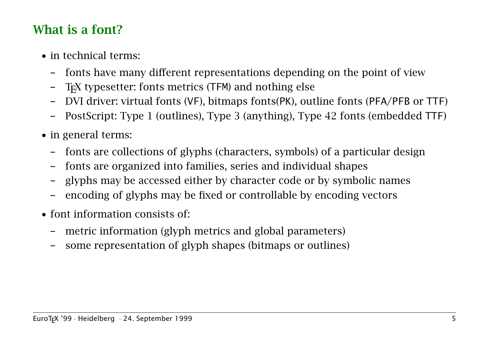### What is a font?

- in technical terms:
	- fonts have many different representations depending on the point of view
	- T<sub>E</sub>X typesetter: fonts metrics (TFM) and nothing else
	- DVI driver: virtual fonts (VF), bitmaps fonts(PK), outline fonts (PFA/PFB or TTF)
	- PostScript: Type 1 (outlines), Type 3 (anything), Type 42 fonts (embedded TTF)
- in general terms:
	- fonts are collections of glyphs (characters, symbols) of a particular design
	- fonts are organized into families, series and individual shapes
	- glyphs may be accessed either by character code or by symbolic names
	- encoding of glyphs may be fixed or controllable by encoding vectors
- font information consists of:
	- metric information (glyph metrics and global parameters)
	- some representation of glyph shapes (bitmaps or outlines)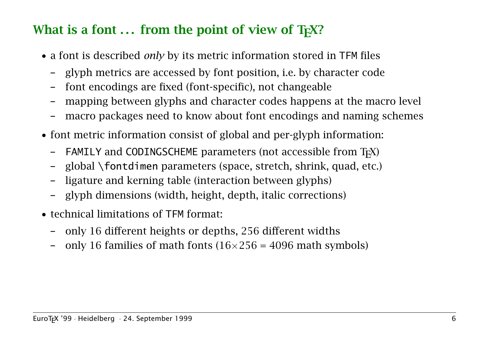# What is a font  $\ldots$  from the point of view of T<sub>F</sub>X?

- a font is described *only* by its metric information stored in TFM files
	- glyph metrics are accessed by font position, i.e. by character code
	- font encodings are fixed (font-specific), not changeable
	- mapping between glyphs and character codes happens at the macro level
	- macro packages need to know about font encodings and naming schemes
- font metric information consist of global and per-glyph information:
	- $-$  FAMILY and CODINGSCHEME parameters (not accessible from T<sub>F</sub>X)
	- global \fontdimen parameters (space, stretch, shrink, quad, etc.)
	- ligature and kerning table (interaction between glyphs)
	- glyph dimensions (width, height, depth, italic corrections)
- technical limitations of TFM format:
	- only 16 different heights or depths, 256 different widths
	- only 16 families of math fonts  $(16\times256 = 4096$  math symbols)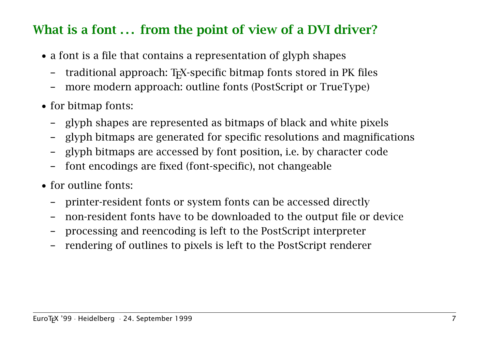# What is a font ... from the point of view of a DVI driver?

- a font is a file that contains a representation of glyph shapes
	- traditional approach: T<sub>F</sub>X-specific bitmap fonts stored in PK files
	- more modern approach: outline fonts (PostScript or TrueType)
- for bitmap fonts:
	- glyph shapes are represented as bitmaps of black and white pixels
	- glyph bitmaps are generated for specific resolutions and magnifications
	- glyph bitmaps are accessed by font position, i.e. by character code
	- font encodings are fixed (font-specific), not changeable
- for outline fonts:
	- printer-resident fonts or system fonts can be accessed directly
	- non-resident fonts have to be downloaded to the output file or device
	- processing and reencoding is left to the PostScript interpreter
	- rendering of outlines to pixels is left to the PostScript renderer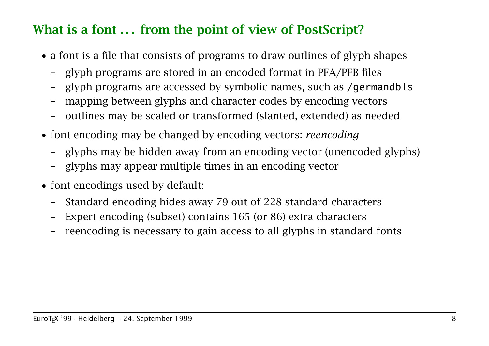# What is a font ... from the point of view of PostScript?

- a font is a file that consists of programs to draw outlines of glyph shapes
	- glyph programs are stored in an encoded format in PFA/PFB files
	- glyph programs are accessed by symbolic names, such as /germandbls
	- mapping between glyphs and character codes by encoding vectors
	- outlines may be scaled or transformed (slanted, extended) as needed
- font encoding may be changed by encoding vectors: *reencoding*
	- glyphs may be hidden away from an encoding vector (unencoded glyphs)
	- glyphs may appear multiple times in an encoding vector
- font encodings used by default:
	- Standard encoding hides away 79 out of 228 standard characters
	- Expert encoding (subset) contains 165 (or 86) extra characters
	- reencoding is necessary to gain access to all glyphs in standard fonts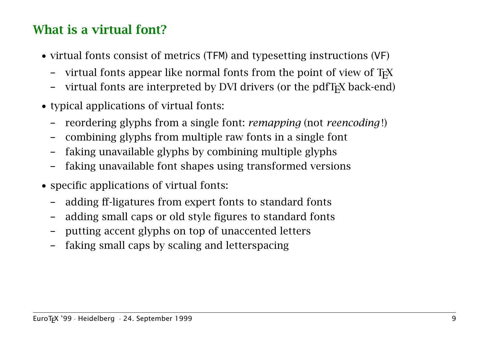# What is a virtual font?

- virtual fonts consist of metrics (TFM) and typesetting instructions (VF)
	- virtual fonts appear like normal fonts from the point of view of  $T<sub>F</sub>X$
	- virtual fonts are interpreted by DVI drivers (or the pdfT<sub>F</sub>X back-end)
- typical applications of virtual fonts:
	- reordering glyphs from a single font: *remapping* (not *reencoding* !)
	- combining glyphs from multiple raw fonts in a single font
	- faking unavailable glyphs by combining multiple glyphs
	- faking unavailable font shapes using transformed versions
- specific applications of virtual fonts:
	- adding ff-ligatures from expert fonts to standard fonts
	- adding small caps or old style figures to standard fonts
	- putting accent glyphs on top of unaccented letters
	- faking small caps by scaling and letterspacing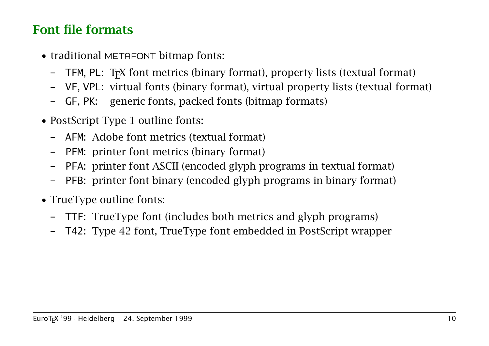### Font file formats

- traditional METAFONT bitmap fonts:
	- TFM, PL: TEX font metrics (binary format), property lists (textual format)
	- VF, VPL: virtual fonts (binary format), virtual property lists (textual format)
	- GF, PK: generic fonts, packed fonts (bitmap formats)
- PostScript Type 1 outline fonts:
	- AFM: Adobe font metrics (textual format)
	- PFM: printer font metrics (binary format)
	- PFA: printer font ASCII (encoded glyph programs in textual format)
	- PFB: printer font binary (encoded glyph programs in binary format)
- TrueType outline fonts:
	- TTF: TrueType font (includes both metrics and glyph programs)
	- T42: Type 42 font, TrueType font embedded in PostScript wrapper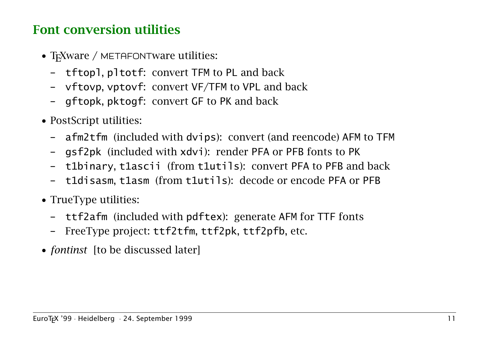## Font conversion utilities

- T<sub>E</sub>Xware / METAFONTware utilities:
	- tftopl, pltotf: convert TFM to PL and back
	- vftovp, vptovf: convert VF/TFM to VPL and back
	- gftopk, pktogf: convert GF to PK and back
- PostScript utilities:
	- afm2tfm (included with dvips): convert (and reencode) AFM to TFM
	- gsf2pk (included with xdvi): render PFA or PFB fonts to PK
	- t1binary, t1ascii (from t1utils): convert PFA to PFB and back
	- t1disasm, t1asm (from t1utils): decode or encode PFA or PFB
- TrueType utilities:
	- ttf2afm (included with pdftex): generate AFM for TTF fonts
	- FreeType project: ttf2tfm, ttf2pk, ttf2pfb, etc.
- *fontinst* [to be discussed later]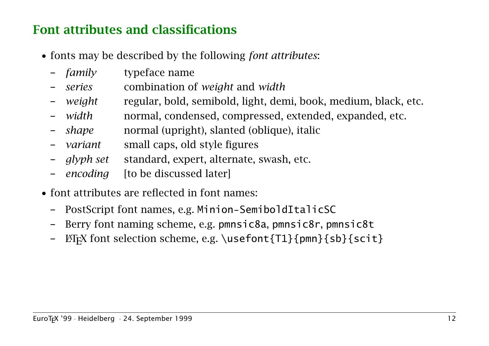## Font attributes and classifications

- fonts may be described by the following *font attributes*:
	- *family* typeface name
	- *series* combination of *weight* and *width*
	- *weight* regular, bold, semibold, light, demi, book, medium, black, etc.
	- *width* normal, condensed, compressed, extended, expanded, etc.
	- *shape* normal (upright), slanted (oblique), italic
	- *variant* small caps, old style figures
	- *glyph set* standard, expert, alternate, swash, etc.
	- *encoding* [to be discussed later]
- font attributes are reflected in font names:
	- PostScript font names, e.g. Minion-SemiboldItalicSC
	- Berry font naming scheme, e.g. pmnsic8a, pmnsic8r, pmnsic8t
	- $\Delta$ FIFX font selection scheme, e.g. \usefont{T1}{pmn}{sb}{scit}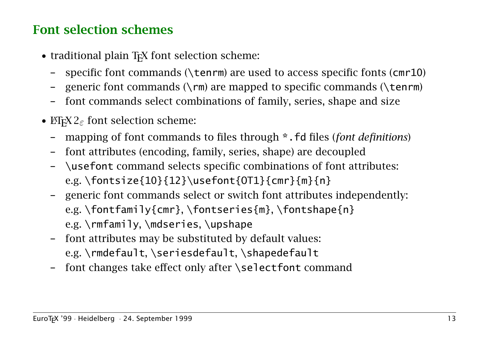### Font selection schemes

- traditional plain T<sub>F</sub>X font selection scheme:
	- specific font commands ( $\text{term}$ ) are used to access specific fonts (cmr10)
	- generic font commands  $(\rm{cm})$  are mapped to specific commands  $(\rm{tem})$
	- font commands select combinations of family, series, shape and size
- ET<sub>F</sub>X  $2_{\varepsilon}$  font selection scheme:
	- mapping of font commands to files through \*.fd files (*font definitions*)
	- font attributes (encoding, family, series, shape) are decoupled
	- \usefont command selects specific combinations of font attributes: e.g. \fontsize{10}{12}\usefont{OT1}{cmr}{m}{n}
	- generic font commands select or switch font attributes independently: e.g. \fontfamily{cmr}, \fontseries{m}, \fontshape{n} e.g. \rmfamily, \mdseries, \upshape
	- font attributes may be substituted by default values: e.g. \rmdefault, \seriesdefault, \shapedefault
	- font changes take effect only after  $\setminus$  selectfont command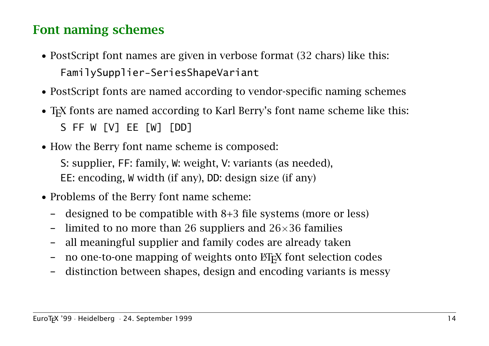#### Font naming schemes

- PostScript font names are given in verbose format (32 chars) like this: FamilySupplier-SeriesShapeVariant
- PostScript fonts are named according to vendor-specific naming schemes
- T<sub>F</sub>X fonts are named according to Karl Berry's font name scheme like this: S FF W [V] EE [W] [DD]
- How the Berry font name scheme is composed:

S: supplier, FF: family, W: weight, V: variants (as needed), EE: encoding, W width (if any), DD: design size (if any)

- Problems of the Berry font name scheme:
	- designed to be compatible with 8+3 file systems (more or less)
	- limited to no more than 26 suppliers and  $26\times36$  families
	- all meaningful supplier and family codes are already taken
	- no one-to-one mapping of weights onto  $\mathbb{F}$ FX font selection codes
	- distinction between shapes, design and encoding variants is messy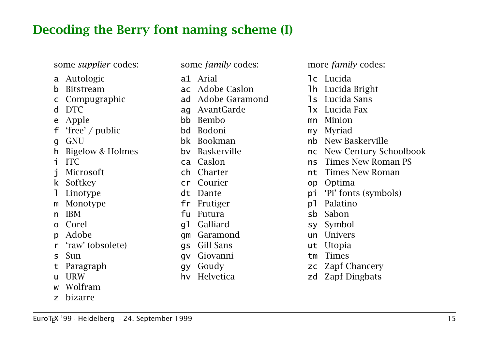#### Decoding the Berry font naming scheme (I)

some *supplier* codes:

- a Autologic
- b Bitstream
- c Compugraphic
- d DTC
- e Apple
- 'free' / public
- g GNU
- h Bigelow & Holmes
- i ITC
- j Microsoft
- k Softkey
- **Linotype**
- m Monotype
- n IBM
- o Corel
- p Adobe
- r 'raw' (obsolete)
- s Sun
- t Paragraph
- u URW
- **Wolfram**
- z bizarre
- some *family* codes: a1 Arial ac Adobe Caslon ad Adobe Garamond ag AvantGarde bb Bembo bd Bodoni bk Bookman bv Baskerville ca Caslon ch Charter cr Courier dt Dante fr Frutiger fu Futura gl Galliard gm Garamond gs Gill Sans gv Giovanni gy Goudy
- hv Helvetica

more *family* codes:

- lc Lucida
- lh Lucida Bright
- ls Lucida Sans
- lx Lucida Fax
- mn Minion
- my Myriad
- nb New Baskerville
- nc New Century Schoolbook
- ns Times New Roman PS
- nt Times New Roman
- op Optima
- pi 'Pi' fonts (symbols)
- pl Palatino
- sb Sabon
- sy Symbol
- un Univers
- ut Utopia
- tm Times
- zc Zapf Chancery
- zd Zapf Dingbats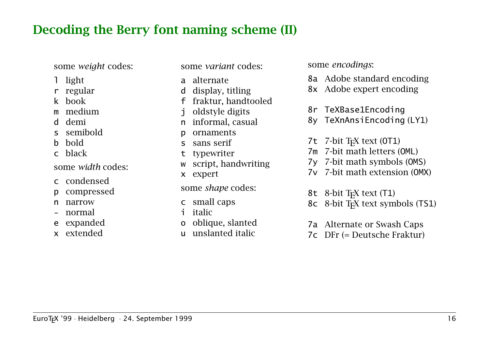#### Decoding the Berry font naming scheme (II)

some *weight* codes:

- l light
- r regular
- k book
- m medium
- d demi
- s semibold
- b bold
- c black

some *width* codes:

- c condensed
- p compressed
- n narrow
- normal
- e expanded
- x extended

some *variant* codes:

- a alternate
- d display, titling
- f fraktur, handtooled
- j oldstyle digits
- n informal, casual
- p ornaments
- s sans serif
- t typewriter
- w script, handwriting
- x expert

some *shape* codes:

- c small caps
- i italic
- o oblique, slanted
- u unslanted italic

some *encodings*:

- 8a Adobe standard encoding
- 8x Adobe expert encoding
- 8r TeXBase1Encoding
- 8y TeXnAnsiEncoding (LY1)
- 7 $t$  7-bit T<sub>F</sub>X text (OT1)
- 7m 7-bit math letters (OML)
- 7y 7-bit math symbols (OMS)
- 7v 7-bit math extension (OMX)

8t 8-bit T<sub>F</sub>X text (T1)

- 8c 8-bit T<sub>F</sub>X text symbols (TS1)
- 7a Alternate or Swash Caps
- 7c DFr (= Deutsche Fraktur)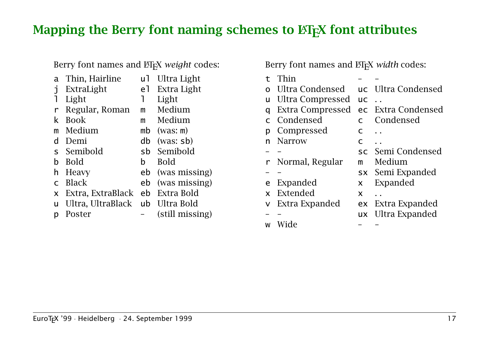#### Mapping the Berry font naming schemes to  $\mathbb{F}$ F<sub>F</sub>X font attributes

Berry font names and **ET<sub>E</sub>X** *weight* codes:

a Thin, Hairline ul Ultra Light ExtraLight el Extra Light 1 Light 1 Light r Regular, Roman m Medium k Book m Medium m Medium mb (was: m) d Demi db (was: sb) s Semibold sb Semibold b Bold b Bold h Heavy eb (was missing) c Black eb (was missing) x Extra, ExtraBlack eb Extra Bold u Ultra, UltraBlack ub Ultra Bold p Poster – (still missing) Berry font names and **ET<sub>E</sub>X** width codes:

| t.       | Thin              |            |                    |
|----------|-------------------|------------|--------------------|
| O        | Ultra Condensed   |            | uc Ultra Condensed |
| u        | Ultra Compressed  | <b>UC</b>  |                    |
| a        | Extra Compressed  |            | ec Extra Condensed |
|          | Condensed         |            | Condensed          |
| р        | Compressed        | C          |                    |
| n        | <b>Narrow</b>     | $\epsilon$ |                    |
|          |                   |            | sc Semi Condensed  |
|          | r Normal, Regular | m          | Medium             |
|          |                   |            | sx Semi Expanded   |
| e        | Expanded          | X.         | Expanded           |
| <b>X</b> | Extended          | X          |                    |
| V.       | Extra Expanded    |            | ex Extra Expanded  |
|          |                   | <b>UX</b>  | Ultra Expanded     |
| W        | ide               |            |                    |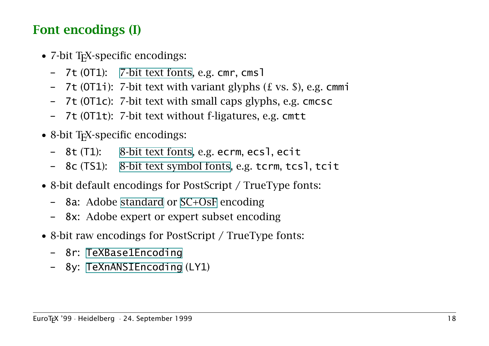# Font encodings (I)

- 7-bit T<sub>F</sub>X-specific encodings:
	- 7t (OT1): 7-bit text fonts, e.g. cmr, cmsl
	- 7t (OT1i): 7-bit text with variant glyphs (£ vs. \$), e.g. cmmi
	- 7t (OT1c): 7-bit text with small caps glyphs, e.g. cmcsc
	- 7t (OT1t): 7-bit text without f-ligatures, e.g. cmtt
- 8-bit T<sub>F</sub>X-specific encodings:
	- 8t (T1): 8-bit text fonts, e.g. ecrm, ecsl, ecit
	- 8c (TS1): 8-bit text symbol fonts, e.g. tcrm, tcsl, tcit
- 8-bit default encodings for PostScript / TrueType fonts:
	- 8a: Adobe standard or SC+OsF encoding
	- 8x: Adobe expert or expert subset encoding
- 8-bit raw encodings for PostScript / TrueType fonts:
	- 8r: TeXBase1Encoding
	- 8y: TeXnANSIEncoding (LY1)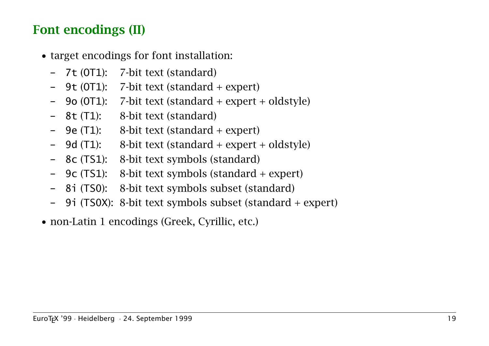# Font encodings (II)

- target encodings for font installation:
	- 7t (OT1): 7-bit text (standard)
	- 9t (OT1): 7-bit text (standard + expert)
	- 9o (OT1): 7-bit text (standard + expert + oldstyle)
	- 8t (T1): 8-bit text (standard)
	- $-$  9e (T1): 8-bit text (standard  $+$  expert)
	- 9d (T1): 8-bit text (standard + expert + oldstyle)
	- 8c (TS1): 8-bit text symbols (standard)
	- 9c (TS1): 8-bit text symbols (standard + expert)
	- 8i (TS0): 8-bit text symbols subset (standard)
	- 9i (TS0X): 8-bit text symbols subset (standard + expert)
- non-Latin 1 encodings (Greek, Cyrillic, etc.)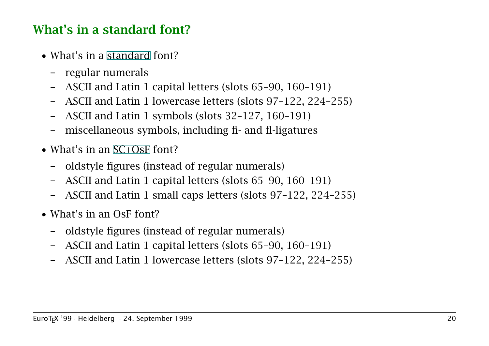# What's in a standard font?

- What's in a standard font?
	- regular numerals
	- ASCII and Latin 1 capital letters (slots 65–90, 160–191)
	- ASCII and Latin 1 lowercase letters (slots 97–122, 224–255)
	- ASCII and Latin 1 symbols (slots 32–127, 160–191)
	- miscellaneous symbols, including fi- and fl-ligatures
- What's in an SC+OsF font?
	- oldstyle figures (instead of regular numerals)
	- ASCII and Latin 1 capital letters (slots 65–90, 160–191)
	- ASCII and Latin 1 small caps letters (slots 97–122, 224–255)
- What's in an OsF font?
	- oldstyle figures (instead of regular numerals)
	- ASCII and Latin 1 capital letters (slots 65–90, 160–191)
	- ASCII and Latin 1 lowercase letters (slots 97–122, 224–255)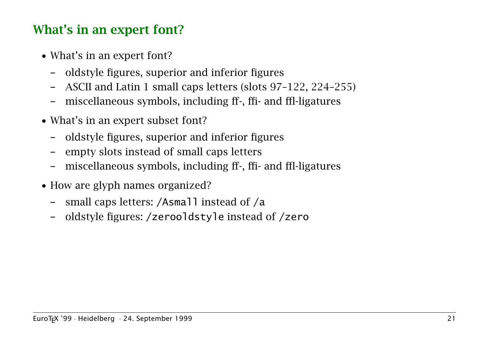# What's in an expert font?

- What's in an expert font?
	- oldstyle figures, superior and inferior figures
	- ASCII and Latin 1 small caps letters (slots 97–122, 224–255)
	- miscellaneous symbols, including ff-, ffi- and ffl-ligatures
- What's in an expert subset font?
	- oldstyle figures, superior and inferior figures
	- empty slots instead of small caps letters
	- miscellaneous symbols, including ff-, ffi- and ffl-ligatures
- How are glyph names organized?
	- small caps letters: /Asmall instead of /a
	- oldstyle figures: /zerooldstyle instead of /zero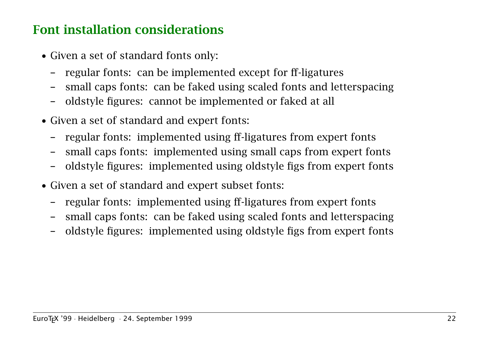### Font installation considerations

- Given a set of standard fonts only:
	- regular fonts: can be implemented except for ff-ligatures
	- small caps fonts: can be faked using scaled fonts and letterspacing
	- oldstyle figures: cannot be implemented or faked at all
- Given a set of standard and expert fonts:
	- regular fonts: implemented using ff-ligatures from expert fonts
	- small caps fonts: implemented using small caps from expert fonts
	- oldstyle figures: implemented using oldstyle figs from expert fonts
- Given a set of standard and expert subset fonts:
	- regular fonts: implemented using ff-ligatures from expert fonts
	- small caps fonts: can be faked using scaled fonts and letterspacing
	- oldstyle figures: implemented using oldstyle figs from expert fonts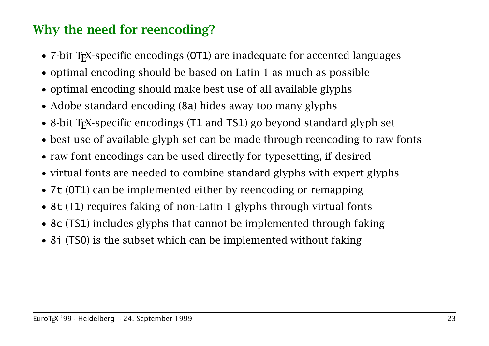# Why the need for reencoding?

- 7-bit T<sub>F</sub>X-specific encodings (OT1) are inadequate for accented languages
- optimal encoding should be based on Latin 1 as much as possible
- optimal encoding should make best use of all available glyphs
- Adobe standard encoding (8a) hides away too many glyphs
- 8-bit T<sub>F</sub>X-specific encodings (T1 and TS1) go beyond standard glyph set
- best use of available glyph set can be made through reencoding to raw fonts
- raw font encodings can be used directly for typesetting, if desired
- virtual fonts are needed to combine standard glyphs with expert glyphs
- 7t (OT1) can be implemented either by reencoding or remapping
- 8t (T1) requires faking of non-Latin 1 glyphs through virtual fonts
- 8c (TS1) includes glyphs that cannot be implemented through faking
- 81 (TS0) is the subset which can be implemented without faking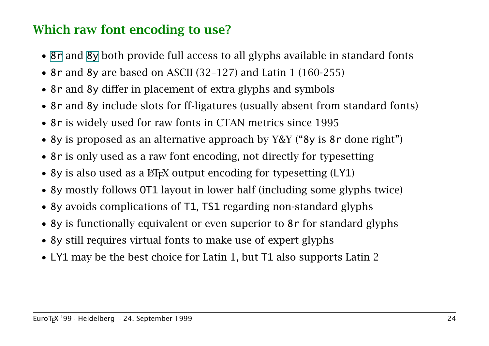# Which raw font encoding to use?

- 8r and 8y both provide full access to all glyphs available in standard fonts
- 8r and 8y are based on ASCII (32-127) and Latin 1 (160-255)
- 8r and 8y differ in placement of extra glyphs and symbols
- 8r and 8y include slots for ff-ligatures (usually absent from standard fonts)
- 8r is widely used for raw fonts in CTAN metrics since 1995
- 8y is proposed as an alternative approach by Y&Y ("8y is 8r done right")
- 8r is only used as a raw font encoding, not directly for typesetting
- 8y is also used as a  $\langle \text{ETr} X \rangle$  output encoding for typesetting (LY1)
- 8y mostly follows OT1 layout in lower half (including some glyphs twice)
- 8y avoids complications of T1, TS1 regarding non-standard glyphs
- 8y is functionally equivalent or even superior to 8r for standard glyphs
- 8y still requires virtual fonts to make use of expert glyphs
- LY1 may be the best choice for Latin 1, but T1 also supports Latin 2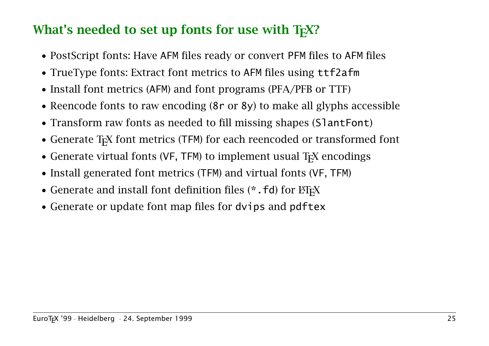### What's needed to set up fonts for use with  $T<sub>F</sub>X$ ?

- PostScript fonts: Have AFM files ready or convert PFM files to AFM files
- TrueType fonts: Extract font metrics to AFM files using ttf2afm
- Install font metrics (AFM) and font programs (PFA/PFB or TTF)
- Reencode fonts to raw encoding (8r or 8y) to make all glyphs accessible
- Transform raw fonts as needed to fill missing shapes (SlantFont)
- Generate T<sub>F</sub>X font metrics (TFM) for each reencoded or transformed font
- Generate virtual fonts (VF, TFM) to implement usual  $T_FX$  encodings
- Install generated font metrics (TFM) and virtual fonts (VF, TFM)
- Generate and install font definition files  $(*$  . Fd) for  $\mathbb{H}$ <sub>F</sub>X
- Generate or update font map files for dvips and pdftex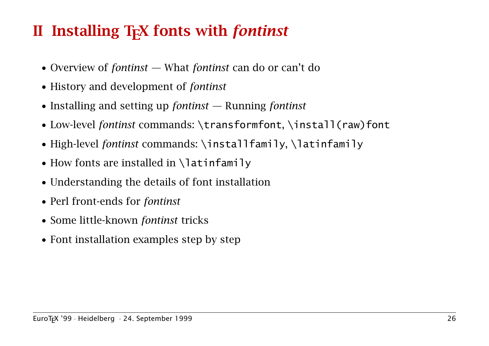# II Installing TEX fonts with *fontinst*

- Overview of *fontinst* What *fontinst* can do or can't do
- History and development of *fontinst*
- Installing and setting up *fontinst* Running *fontinst*
- Low-level *fontinst* commands: \transformfont, \install(raw)font
- High-level *fontinst* commands: \installfamily, \latinfamily
- How fonts are installed in  $\lambda$  atinfamily
- Understanding the details of font installation
- Perl front-ends for *fontinst*
- Some little-known *fontinst* tricks
- Font installation examples step by step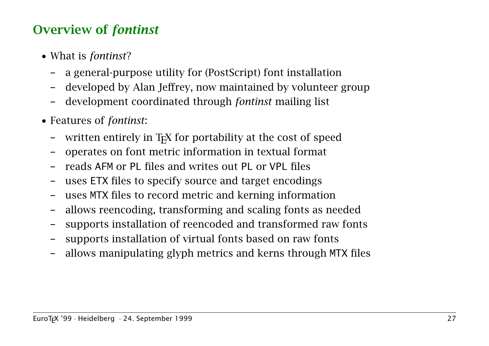### Overview of *fontinst*

- What is *fontinst*?
	- a general-purpose utility for (PostScript) font installation
	- developed by Alan Jeffrey, now maintained by volunteer group
	- development coordinated through *fontinst* mailing list
- Features of *fontinst*:
	- written entirely in  $Tr X$  for portability at the cost of speed
	- operates on font metric information in textual format
	- reads AFM or PL files and writes out PL or VPL files
	- uses ETX files to specify source and target encodings
	- uses MTX files to record metric and kerning information
	- allows reencoding, transforming and scaling fonts as needed
	- supports installation of reencoded and transformed raw fonts
	- supports installation of virtual fonts based on raw fonts
	- allows manipulating glyph metrics and kerns through MTX files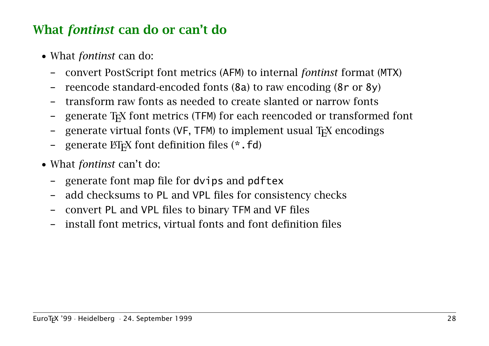#### What *fontinst* can do or can't do

- What *fontinst* can do:
	- convert PostScript font metrics (AFM) to internal *fontinst* format (MTX)
	- reencode standard-encoded fonts (8a) to raw encoding (8r or 8y)
	- transform raw fonts as needed to create slanted or narrow fonts
	- generate TEX font metrics (TFM) for each reencoded or transformed font
	- generate virtual fonts (VF, TFM) to implement usual T<sub>F</sub>X encodings
	- generate  $\mathbb{E}$ T<sub>F</sub>X font definition files ( $*$  .  $fd$ )
- What *fontinst* can't do:
	- generate font map file for dvips and pdftex
	- add checksums to PL and VPL files for consistency checks
	- convert PL and VPL files to binary TFM and VF files
	- install font metrics, virtual fonts and font definition files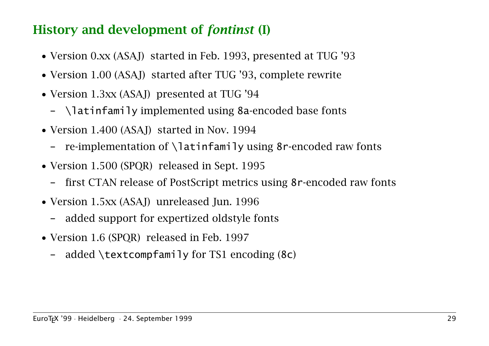#### History and development of *fontinst* (I)

- Version 0.xx (ASAJ) started in Feb. 1993, presented at TUG '93
- Version 1.00 (ASAJ) started after TUG '93, complete rewrite
- Version 1.3xx (ASAJ) presented at TUG '94
	- \latinfamily implemented using 8a-encoded base fonts
- Version 1.400 (ASAJ) started in Nov. 1994
	- re-implementation of \latinfamily using 8r-encoded raw fonts
- Version 1.500 (SPQR) released in Sept. 1995
	- first CTAN release of PostScript metrics using 8r-encoded raw fonts
- Version 1.5xx (ASAJ) unreleased Jun. 1996
	- added support for expertized oldstyle fonts
- Version 1.6 (SPOR) released in Feb. 1997
	- added  $\text{ctm}$  and  $\text{or}$  TS1 encoding (8c)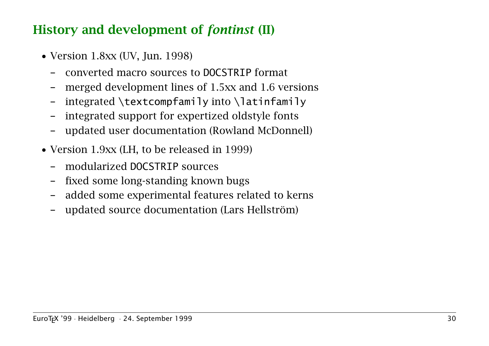#### History and development of *fontinst* (II)

- Version 1.8xx (UV, Jun. 1998)
	- converted macro sources to DOCSTRIP format
	- merged development lines of 1.5xx and 1.6 versions
	- integrated  $\text{convfamily}$  into  $\text{limit}$
	- integrated support for expertized oldstyle fonts
	- updated user documentation (Rowland McDonnell)
- Version 1.9xx (LH, to be released in 1999)
	- modularized DOCSTRIP sources
	- fixed some long-standing known bugs
	- added some experimental features related to kerns
	- updated source documentation (Lars Hellström)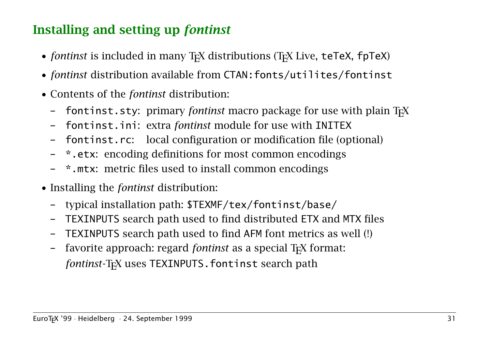# Installing and setting up *fontinst*

- *fontinst* is included in many T<sub>E</sub>X distributions (T<sub>E</sub>X Live, teTeX, fpTeX)
- *fontinst* distribution available from CTAN: fonts/utilites/fontinst
- Contents of the *fontinst* distribution:
	- fontinst.sty: primary *fontinst* macro package for use with plain T<sub>F</sub>X
	- fontinst.ini: extra *fontinst* module for use with INITEX
	- fontinst.rc: local configuration or modification file (optional)
	- \*.etx: encoding definitions for most common encodings
	- \*.mtx: metric files used to install common encodings
- Installing the *fontinst* distribution:
	- typical installation path: \$TEXMF/tex/fontinst/base/
	- TEXINPUTS search path used to find distributed ETX and MTX files
	- TEXINPUTS search path used to find AFM font metrics as well (!)
	- favorite approach: regard *fontinst* as a special T<sub>F</sub>X format: *fontinst*-T<sub>F</sub>X uses TEXINPUTS. fontinst search path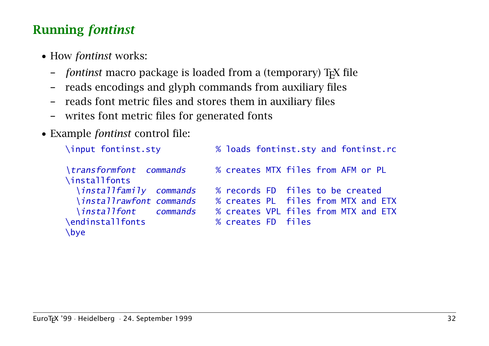# Running *fontinst*

- How *fontinst* works:
	- *fontinst* macro package is loaded from a (temporary) TEX file
	- reads encodings and glyph commands from auxiliary files
	- reads font metric files and stores them in auxiliary files
	- writes font metric files for generated fonts
- Example *fontinst* control file:

```
\input fontinst.sty % loads fontinst.sty and fontinst.rc
\transformfont commands % creates MTX files from AFM or PL
\installfonts
  \installfamily commands % records FD files to be created
  \installrawfont commands % creates PL files from MTX and ETX
  \installfont commands % creates VPL files from MTX and ETX
\endinstallfonts % creates FD files
\bye
```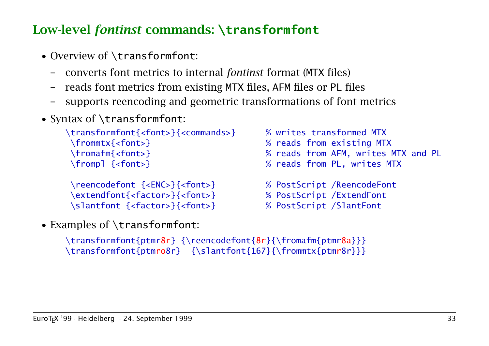# Low-level *fontinst* commands: **\transformfont**

- Overview of **\transformfont**:
	- converts font metrics to internal *fontinst* format (MTX files)
	- reads font metrics from existing MTX files, AFM files or PL files
	- supports reencoding and geometric transformations of font metrics
- Syntax of \transformfont:

```
\transformfont{<font>}{<commands>} % writes transformed MTX
\frommtx{<font>} % reads from existing MTX
\frompl {<font>} % reads from PL, writes MTX
```

```
\reencodefont {<ENC>}{<font>} % PostScript /ReencodeFont
\extendfont{<factor>}{<font>} % PostScript /ExtendFont
\slantfont {<factor>}{<font>} % PostScript /SlantFont
```
• Examples of \transformfont:

```
\fromafm{<font>} % reads from AFM, writes MTX and PL
```
- 
- 
- 

```
\transformfont{ptmr8r} {\reencodefont{8r}{\fromafm{ptmr8a}}}
\transformfont{ptmro8r} {\slantfont{167}{\frommtx{ptmr8r}}}
```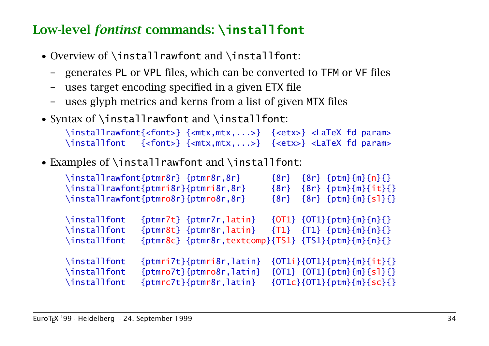# Low-level *fontinst* commands: **\installfont**

- Overview of \installrawfont and \installfont:
	- generates PL or VPL files, which can be converted to TFM or VF files
	- uses target encoding specified in a given ETX file
	- uses glyph metrics and kerns from a list of given MTX files
- Syntax of \installrawfont and \installfont:

```
\installrawfont{<font>} {<mtx,mtx,...>} {<etx>} <LaTeX fd param>
\installfont {<font>} {<mtx,mtx,...>} {<etx>} <LaTeX fd param>
```
• Examples of \installrawfont and \installfont:

|                                              | \installrawfont{ptmr8r} {ptmr8r,8r}                                                                                            | $\{8r\}$ | $\{8r\}$ {ptm}{m}{n}{}}                                                  |
|----------------------------------------------|--------------------------------------------------------------------------------------------------------------------------------|----------|--------------------------------------------------------------------------|
|                                              | \installrawfont{ptmri8r}{ptmri8r,8r}                                                                                           | $\{8r\}$ | $\{8r\}$ {ptm}{m}{it}{}                                                  |
|                                              | \installrawfont{ptmro8r}{ptmro8r,8r}                                                                                           | $\{8r\}$ | $\{8r\}$ {ptm}{m}{s]}{}                                                  |
| \installfont<br>\installfont<br>\installfont | $\{ptmr7t\}$ $\{ptmr7r, latin\}$<br>$\{ptmr8t\}$ $\{ptmr8r, latin\}$<br>${ptmr8c} {ptmr8r, textcomp}{TS1} {TS1}{ptm}{m}{m}{h}$ |          | ${OT1} {OT1} {ptm} {m} {n} {}$<br>$\{T1\}$ $\{T1\}$ $\{ptm\}\{m\}\{n\}\$ |
| \installfont                                 | $\{ptmri7t\}$ {ptmri8r, latin}                                                                                                 |          | ${OT1i}{OT1}{T1}{in}{fntm}{m}{i}{t}{t}{t}}$                              |
| \installfont                                 | $\{ptmro7t\}\{ptmro8r, latin\}$                                                                                                |          | $\{0T1\}$ $\{0T1\}$ { $ptm$ } { $m$ } { $s1$ } {}                        |
| \installfont                                 | $\{ptmrc7t\}$ {ptmr8r, latin}                                                                                                  |          | ${OT1c}{OT1}{T1}{fptm}{m}{s}{s}{C}{f}}$                                  |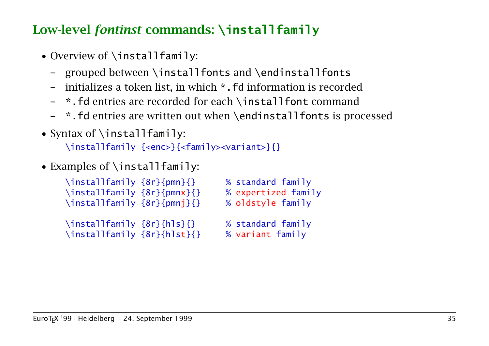# Low-level *fontinst* commands: **\installfamily**

- Overview of \installfamily:
	- grouped between \installfonts and \endinstallfonts
	- initializes a token list, in which \*.fd information is recorded
	- \*.fd entries are recorded for each \installfont command
	- \*.fd entries are written out when \endinstallfonts is processed
- Syntax of \installfamily: \installfamily {<enc>}{<family><variant>}{}
- Examples of \installfamily:

| \installfamily {8r}{pmn}{}<br>\installfamily {8r}{pmnx}{}<br>\installfamily {8r}{pmnj}{} | % standard family<br>% expertized family<br>% oldstyle family |
|------------------------------------------------------------------------------------------|---------------------------------------------------------------|
| \installfamily {8r}{hls}{}<br>\installfamily {8r}{hlst}{}                                | % standard family<br>% variant family                         |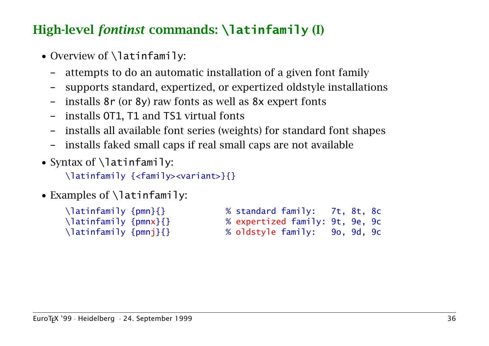# High-level *fontinst* commands: **\latinfamily** (I)

- Overview of **\latinfamily**:
	- attempts to do an automatic installation of a given font family
	- supports standard, expertized, or expertized oldstyle installations
	- installs 8r (or 8y) raw fonts as well as 8x expert fonts
	- installs OT1, T1 and TS1 virtual fonts
	- installs all available font series (weights) for standard font shapes
	- installs faked small caps if real small caps are not available
- Syntax of  $\lambda$  atinfamily:

\latinfamily {<family><variant>}{}

• Examples of \latinfamily:

| \latinfamily {pmn}{}  | % standard family: 7t, 8t, 8c   |  |  |
|-----------------------|---------------------------------|--|--|
| \latinfamily {pmnx}{} | % expertized family: 9t, 9e, 9c |  |  |
| \latinfamily {pmnj}{} | % oldstyle family: 90, 9d, 9c   |  |  |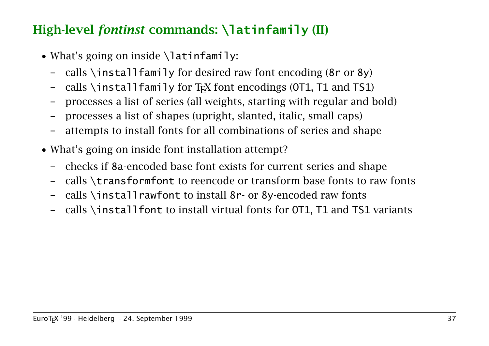### High-level *fontinst* commands: **\latinfamily** (II)

- What's going on inside  $\lambda$  atinfamily:
	- calls \installfamily for desired raw font encoding  $(8r \text{ or } 8y)$
	- calls \installfamily for T<sub>F</sub>X font encodings (OT1, T1 and TS1)
	- processes a list of series (all weights, starting with regular and bold)
	- processes a list of shapes (upright, slanted, italic, small caps)
	- attempts to install fonts for all combinations of series and shape
- What's going on inside font installation attempt?
	- checks if 8a-encoded base font exists for current series and shape
	- calls \transformfont to reencode or transform base fonts to raw fonts
	- calls \installrawfont to install 8r- or 8y-encoded raw fonts
	- calls \installfont to install virtual fonts for OT1, T1 and TS1 variants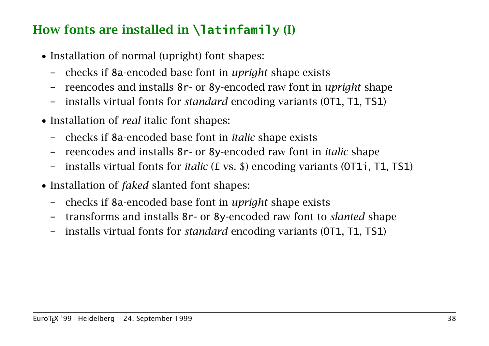# How fonts are installed in **\latinfamily** (I)

- Installation of normal (upright) font shapes:
	- checks if 8a-encoded base font in *upright* shape exists
	- reencodes and installs 8r- or 8y-encoded raw font in *upright* shape
	- installs virtual fonts for *standard* encoding variants (OT1, T1, TS1)
- Installation of *real* italic font shapes:
	- checks if 8a-encoded base font in *italic* shape exists
	- reencodes and installs 8r- or 8y-encoded raw font in *italic* shape
	- installs virtual fonts for *italic* (£ vs. \$) encoding variants (OT1i, T1, TS1)
- Installation of *faked* slanted font shapes:
	- checks if 8a-encoded base font in *upright* shape exists
	- transforms and installs 8r- or 8y-encoded raw font to *slanted* shape
	- installs virtual fonts for *standard* encoding variants (OT1, T1, TS1)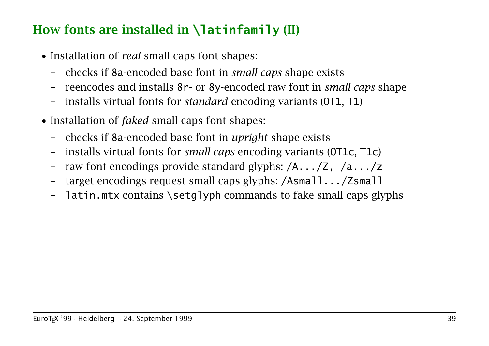# How fonts are installed in **\latinfamily** (II)

- Installation of *real* small caps font shapes:
	- checks if 8a-encoded base font in *small caps* shape exists
	- reencodes and installs 8r- or 8y-encoded raw font in *small caps* shape
	- installs virtual fonts for *standard* encoding variants (OT1, T1)
- Installation of *faked* small caps font shapes:
	- checks if 8a-encoded base font in *upright* shape exists
	- installs virtual fonts for *small caps* encoding variants (OT1c, T1c)
	- raw font encodings provide standard glyphs: /A.../Z, /a.../z
	- target encodings request small caps glyphs: /Asmall.../Zsmall
	- latin.mtx contains \setglyph commands to fake small caps glyphs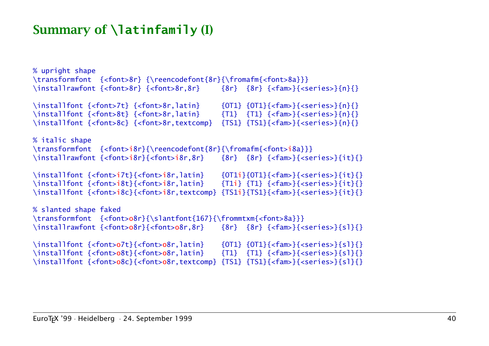### Summary of **\latinfamily** (I)

% upright shape \transformfont {<font>8r} {\reencodefont{8r}{\fromafm{<font>8a}}} \installrawfont {<font>8r} {<font>8r,8r} {8r} {8r} {<fam>}{<series>}{n}{} \installfont {<font>7t} {<font>8r,latin} {0T1} {0T1}{<fam>}{<series>}{n}{} \installfont {<font>8t} {<font>8r,latin} {T1} {T1} {<fam>}{<series>}{n}{} \installfont {<font>8c} {<font>8r,textcomp} {TS1} {TS1}{<fam>}{<series>}{n}{} % italic shape \transformfont {<font>i8r}{\reencodefont{8r}{\fromafm{<font>i8a}}} \installrawfont {<font>i8r}{<font>i8r,8r} {8r} {8r} {<fam>}{<series>}{it}{} \installfont {<font>i7t}{<font>i8r,latin} {OT1i}{OT1}{<fam>}{<series>}{it}{} \installfont {<font>i8t}{<font>i8r,latin} {T1i} {T1} {<fam>}{<series>}{it}{} \installfont {<font>i8c}{<font>i8r,textcomp} {TS1i}{TS1}{<fam>}{<series>}{it}{} % slanted shape faked \transformfont {<font>o8r}{\slantfont{167}{\frommtxm{<font>8a}}} \installrawfont {<font>o8r}{<font>o8r,8r} {8r} {8r} {<fam>}{<series>}{sl}{} \installfont {<font>o7t}{<font>o8r,latin} {0T1} {OT1}{<fam>}{<series>}{sl}{} \installfont {<font>o8t}{<font>o8r,latin} {T1} {T1} {<fam>}{<series>}{\$l}{} \installfont {<font>o8c}{<font>o8r,textcomp} {TS1} {TS1}{<fam>}{<series>}{sl}{}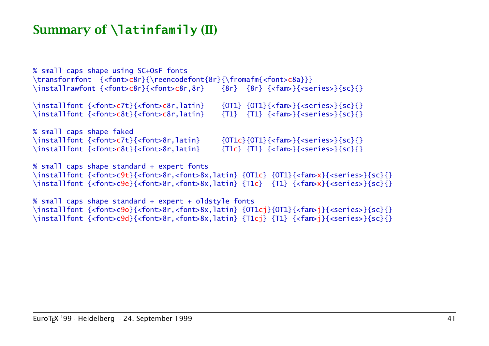#### Summary of **\latinfamily** (II)

% small caps shape using SC+OsF fonts \transformfont {<font>c8r}{\reencodefont{8r}{\fromafm{<font>c8a}}} \installrawfont {<font>c8r}{<font>c8r,8r} {8r} {8r} {<fam>}{<series>}{sc}{} \installfont {<font>c7t}{<font>c8r,latin} {OT1} {OT1}{<fam>}{<series>}{sc}{} \installfont {<font>c8t}{<font>c8r,latin} {T1} {T1} {<fam>}{<series>}{sc}{} % small caps shape faked \installfont {<font>c7t}{<font>8r,latin}  ${OT1c}{OT1c}{CT1}{<}$ {<fam>}{<series>}{sc}{} \installfont {<font>c8t}{<font>8r,latin} {T1c} {T1} {<fam>}{<series>}{sc}{} % small caps shape standard + expert fonts \installfont {<font>c9t}{<font>8r,<font>8x,latin} {OT1c} {OT1}{<fam>x}{<series>}{sc}{} \installfont {<font>c9e}{<font>8r,<font>8x,latin} {T1c} {T1} {<fam>x}{<series>}{sc}{}

% small caps shape standard + expert + oldstyle fonts \installfont {<font>c9o}{<font>8r,<font>8x,latin} {OT1cj}{OT1}{<fam>j}{<series>}{sc}{} \installfont {<font>c9d}{<font>8r,<font>8x,latin} {T1cj} {T1} {<fam>j}{<series>}{sc}{}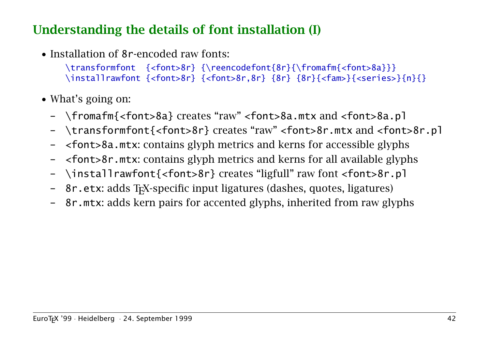#### Understanding the details of font installation (I)

• Installation of 8r-encoded raw fonts:

\transformfont {<font>8r} {\reencodefont{8r}{\fromafm{<font>8a}}} \installrawfont {<font>8r} {<font>8r,8r} {8r} {8r}{<fam>}{<series>}{n}{}

- What's going on:
	- \fromafm{<font>8a} creates "raw" <font>8a.mtx and <font>8a.pl
	- \transformfont{<font>8r} creates "raw" <font>8r.mtx and <font>8r.pl
	- <font>8a.mtx: contains glyph metrics and kerns for accessible glyphs
	- <font>8r.mtx: contains glyph metrics and kerns for all available glyphs
	- \installrawfont{<font>8r} creates "ligfull" raw font <font>8r.pl
	- 8r. etx: adds T<sub>F</sub>X-specific input ligatures (dashes, quotes, ligatures)
	- 8r.mtx: adds kern pairs for accented glyphs, inherited from raw glyphs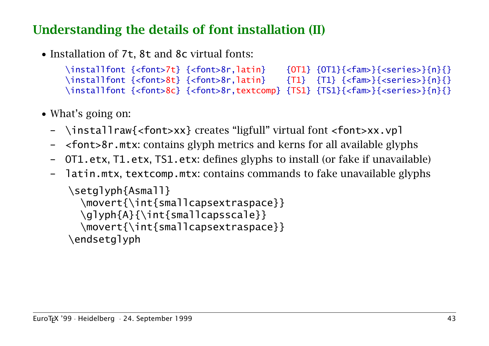## Understanding the details of font installation (II)

• Installation of 7t, 8t and 8c virtual fonts:

```
\installfont {<font>7t} {<font>8r,latin} {0T1} {0T1}{<fam>}{<series>}{n}{}
\installfont {<font>8t} {<font>8r,latin} {T1} {T1} {<fam>}{<series>}{n}{}
\installfont {<font>8c} {<font>8r.textcomp} {TS1} {TS1}{<fam>}{<series>}{n}{}
```
- What's going on:
	- \installraw{<font>xx} creates "ligfull" virtual font <font>xx.vpl
	- <font>8r.mtx: contains glyph metrics and kerns for all available glyphs
	- OT1.etx, T1.etx, TS1.etx: defines glyphs to install (or fake if unavailable)
	- latin.mtx, textcomp.mtx: contains commands to fake unavailable glyphs

```
\setglyph{Asmall}
  \movert{\int{smallcapsextraspace}}
  \glyph{A}{\int{smallcapsscale}}
  \movert{\int{smallcapsextraspace}}
\endsetglyph
```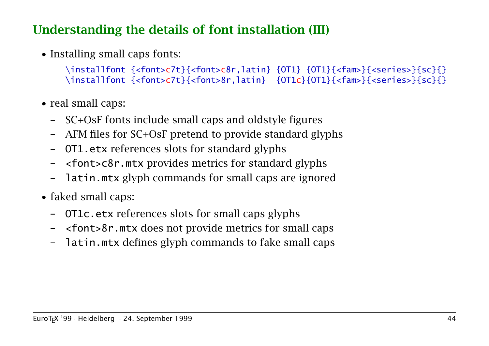### Understanding the details of font installation (III)

• Installing small caps fonts:

```
\installfont {<font>c7t}{<font>c8r,latin} {OT1} {OT1}{<fam>}{<series>}{sc}{}
\installfont {<font>c7t}{<font>8r.latin} {OT1c}{OT1}{<fam>}{<series>}{sc}{}
```
- real small caps:
	- SC+OsF fonts include small caps and oldstyle figures
	- AFM files for SC+OsF pretend to provide standard glyphs
	- OT1.etx references slots for standard glyphs
	- <font>c8r.mtx provides metrics for standard glyphs
	- latin.mtx glyph commands for small caps are ignored
- faked small caps:
	- OT1c.etx references slots for small caps glyphs
	- <font>8r.mtx does not provide metrics for small caps
	- latin.mtx defines glyph commands to fake small caps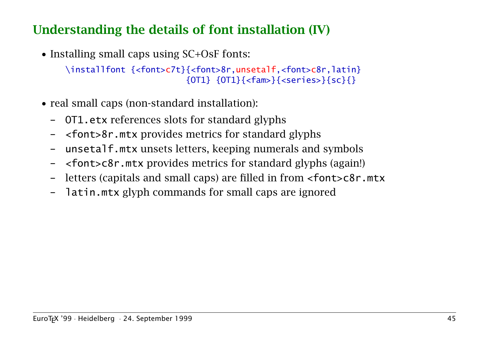# Understanding the details of font installation (IV)

• Installing small caps using SC+OsF fonts:

```
\installfont {<font>c7t}{<font>8r,unsetalf,<font>c8r,latin}
                        {OT1} {OT1}{<fam>}{<series>}{sc}{}
```
- real small caps (non-standard installation):
	- OT1.etx references slots for standard glyphs
	- <font>8r.mtx provides metrics for standard glyphs
	- unsetalf.mtx unsets letters, keeping numerals and symbols
	- <font>c8r.mtx provides metrics for standard glyphs (again!)
	- letters (capitals and small caps) are filled in from <font>c8r.mtx
	- latin.mtx glyph commands for small caps are ignored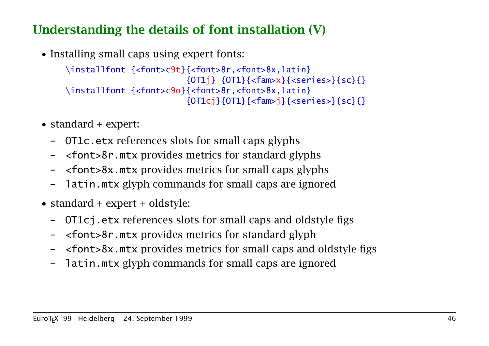## Understanding the details of font installation (V)

• Installing small caps using expert fonts:

\installfont {<font>c9t}{<font>8r,<font>8x,latin}  ${0T1i} {0T1}{s} {<}fam>x}{<}serries>}{scs}$ \installfont {<font>c9o}{<font>8r,<font>8x,latin}  ${O}$ T1cj}{OT1}{<fam>j}{<series>}{sc}{}

- standard + expert:
	- OT1c.etx references slots for small caps glyphs
	- <font>8r.mtx provides metrics for standard glyphs
	- <font>8x.mtx provides metrics for small caps glyphs
	- latin.mtx glyph commands for small caps are ignored
- standard + expert + oldstyle:
	- OT1cj.etx references slots for small caps and oldstyle figs
	- <font>8r.mtx provides metrics for standard glyph
	- <font>8x.mtx provides metrics for small caps and oldstyle figs
	- latin.mtx glyph commands for small caps are ignored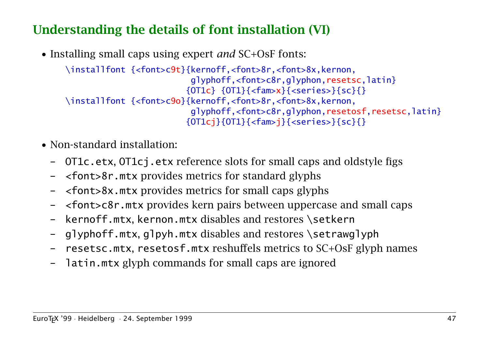# Understanding the details of font installation (VI)

• Installing small caps using expert *and* SC+OsF fonts:

\installfont {<font>c9t}{kernoff,<font>8r,<font>8x,kernon, glyphoff,<font>c8r,glyphon,resetsc,latin}  ${0T1c} {0T1}{s} {<}fam>x}{<}series>{s}s{c}{s}$ \installfont {<font>c9o}{kernoff,<font>8r,<font>8x,kernon, glyphoff,<font>c8r,glyphon,resetosf,resetsc,latin}  ${OT1c}$ j ${OT1}{$ { ${<}$ fam>j}{<series>}{sc}{}

- Non-standard installation:
	- OT1c.etx, OT1cj.etx reference slots for small caps and oldstyle figs
	- <font>8r.mtx provides metrics for standard glyphs
	- <font>8x.mtx provides metrics for small caps glyphs
	- <font>c8r.mtx provides kern pairs between uppercase and small caps
	- kernoff.mtx, kernon.mtx disables and restores \setkern
	- glyphoff.mtx, glpyh.mtx disables and restores \setrawglyph
	- resetsc.mtx, resetosf.mtx reshuffels metrics to SC+OsF glyph names
	- latin.mtx glyph commands for small caps are ignored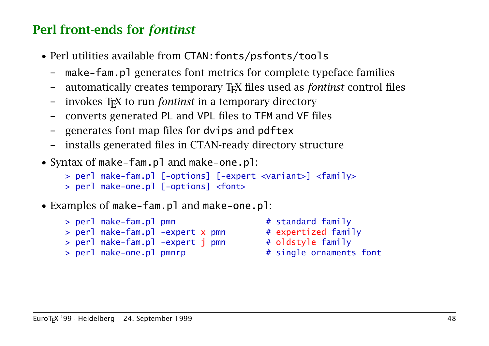# Perl front-ends for *fontinst*

- Perl utilities available from CTAN:fonts/psfonts/tools
	- make-fam.pl generates font metrics for complete typeface families
	- automatically creates temporary TEX files used as *fontinst* control files
	- invokes T<sub>F</sub>X to run *fontinst* in a temporary directory
	- converts generated PL and VPL files to TFM and VF files
	- generates font map files for dvips and pdftex
	- installs generated files in CTAN-ready directory structure
- Syntax of make-fam.pl and make-one.pl:

```
> perl make-fam.pl [-options] [-expert <variant>] <family>
```

```
> perl make-one.pl [-options] <font>
```
• Examples of make-fam.pl and make-one.pl:

```
> perl make-fam.pl pmn # standard family
> perl make-fam.pl -expert x pmn # expertized family
> perl make-fam.pl -expert j pmn # oldstyle family
> perl make-one.pl pmnrp \frac{1}{x} # single ornaments font
```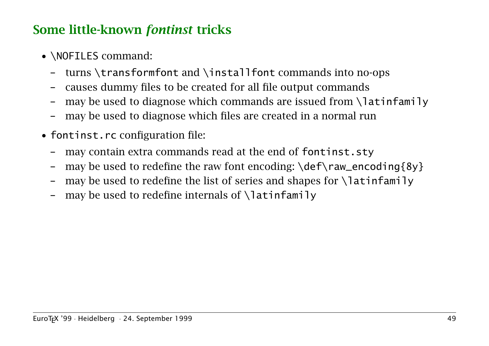### Some little-known *fontinst* tricks

- **\NOFILES** command:
	- turns  $\transformation$  and  $\inst{1}$  font commands into no-ops
	- causes dummy files to be created for all file output commands
	- may be used to diagnose which commands are issued from  $\lambda$ latinfamily
	- may be used to diagnose which files are created in a normal run
- fontinst.rc configuration file:
	- may contain extra commands read at the end of fontinst.sty
	- may be used to redefine the raw font encoding:  $\def\raw_encoding{8y}$
	- may be used to redefine the list of series and shapes for  $\lambda$ latinfamily
	- may be used to redefine internals of  $\lambda$ latinfamily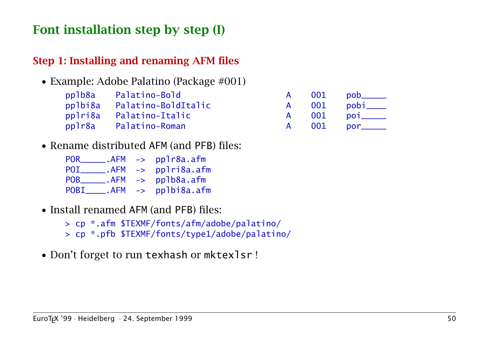### Font installation step by step (I)

#### Step 1: Installing and renaming AFM files

• Example: Adobe Palatino (Package #001)

| pplb8a Palatino-Bold        |  | A 001 pob_____ |
|-----------------------------|--|----------------|
| pplbi8a Palatino-BoldItalic |  | A 001 pobi____ |
| pplri8a Palatino-Italic     |  | A 001 poi_____ |
| pplr8a Palatino-Roman       |  | A 001 por_____ |

• Rename distributed AFM (and PFB) files:

| POR         | .AFM              | -> pplr8a.afm                 |
|-------------|-------------------|-------------------------------|
| POI         |                   | $AFM \rightarrow$ pplri8a.afm |
| <b>POB</b>  |                   | $AFM \rightarrow pp1b8a.afm$  |
| <b>POBI</b> | $AFM \rightarrow$ | pplbi8a.afm                   |

- Install renamed AFM (and PFB) files:
	- > cp \*.afm \$TEXMF/fonts/afm/adobe/palatino/
	- > cp \*.pfb \$TEXMF/fonts/type1/adobe/palatino/
- Don't forget to run texhash or mktexlsr !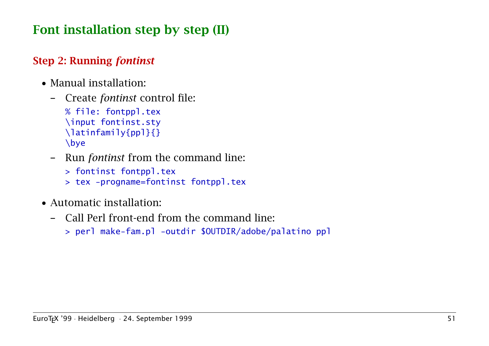# Font installation step by step (II)

#### Step 2: Running *fontinst*

- Manual installation:
	- Create *fontinst* control file:

```
% file: fontppl.tex
\input fontinst.sty
\latinfamily{ppl}{}
\bye
```
- Run *fontinst* from the command line:
	- > fontinst fontppl.tex
	- > tex -progname=fontinst fontppl.tex
- Automatic installation:
	- Call Perl front-end from the command line:
		- > perl make-fam.pl -outdir \$OUTDIR/adobe/palatino ppl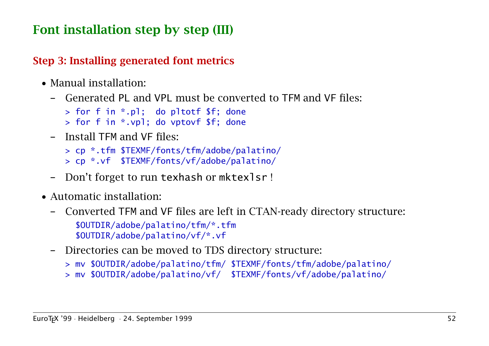# Font installation step by step (III)

#### Step 3: Installing generated font metrics

- Manual installation:
	- Generated PL and VPL must be converted to TFM and VF files:

```
> for f in *.pl; do pltotf $f; done
```
- > for f in \*.vpl; do vptovf \$f; done
- Install TFM and VF files:

```
> cp *.tfm $TEXMF/fonts/tfm/adobe/palatino/
> cp *.vf $TEXMF/fonts/vf/adobe/palatino/
```
- Don't forget to run texhash or mktexlsr !
- Automatic installation:
	- Converted TFM and VF files are left in CTAN-ready directory structure: \$OUTDIR/adobe/palatino/tfm/\*.tfm \$OUTDIR/adobe/palatino/vf/\*.vf
	- Directories can be moved to TDS directory structure:
		- > mv \$OUTDIR/adobe/palatino/tfm/ \$TEXMF/fonts/tfm/adobe/palatino/
		- > mv \$OUTDIR/adobe/palatino/vf/ \$TEXMF/fonts/vf/adobe/palatino/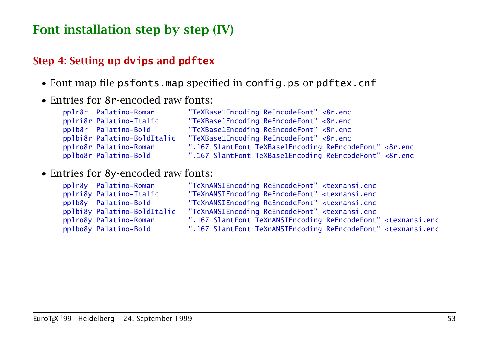### Font installation step by step (IV)

#### Step 4: Setting up **dvips** and **pdftex**

- Font map file psfonts.map specified in config.ps or pdftex.cnf
- Entries for 8r-encoded raw fonts:

| pplr8r Palatino-Roman       | "TeXBase1Encoding ReEncodeFont" <8r.enc                |
|-----------------------------|--------------------------------------------------------|
| pplri8r Palatino-Italic     | "TeXBase1Encoding ReEncodeFont" <8r.enc                |
| pplb8r Palatino-Bold        | "TeXBase1Encoding ReEncodeFont" <8r.enc                |
| pplbi8r Palatino-BoldItalic | "TeXBase1Encoding ReEncodeFont" <8r.enc                |
| pplro8r Palatino-Roman      | ".167 SlantFont TeXBase1Encoding ReEncodeFont" <8r.enc |
| pplbo8r Palatino-Bold       | ".167 SlantFont TeXBase1Encoding ReEncodeFont" <8r.enc |

#### • Entries for 8y-encoded raw fonts:

| pplr8y Palatino-Roman       | m  |
|-----------------------------|----|
| pplri8y Palatino-Italic     | m  |
| pplb8y Palatino-Bold        | m  |
| pplbi8y Palatino-BoldItalic | m  |
| pplro8y Palatino-Roman      | Ħ. |
| pplbo8y Palatino-Bold       | п. |

| pplr8y Palatino-Roman       | "TeXnANSIEncoding ReEncodeFont" <texnansi.enc< th=""></texnansi.enc<>                |
|-----------------------------|--------------------------------------------------------------------------------------|
| pplri8y Palatino-Italic     | "TeXnANSIEncoding ReEncodeFont" <texnansi.enc< td=""></texnansi.enc<>                |
| pplb8y Palatino-Bold        | "TeXnANSIEncoding ReEncodeFont" <texnansi.enc< td=""></texnansi.enc<>                |
| pplbi8y Palatino-BoldItalic | "TeXnANSIEncoding ReEncodeFont" <texnansi.enc< td=""></texnansi.enc<>                |
| pplro8y Palatino-Roman      | ".167 SlantFont TeXnANSIEncoding ReEncodeFont" <texnansi.enc< td=""></texnansi.enc<> |
| pplbo8y Palatino-Bold       | ".167 SlantFont TeXnANSIEncoding ReEncodeFont" <texnansi.enc< td=""></texnansi.enc<> |
|                             |                                                                                      |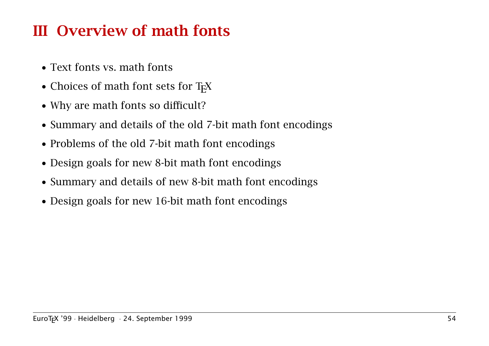# III Overview of math fonts

- Text fonts vs. math fonts
- $\bullet$  Choices of math font sets for T<sub>F</sub>X
- Why are math fonts so difficult?
- Summary and details of the old 7-bit math font encodings
- Problems of the old 7-bit math font encodings
- Design goals for new 8-bit math font encodings
- Summary and details of new 8-bit math font encodings
- Design goals for new 16-bit math font encodings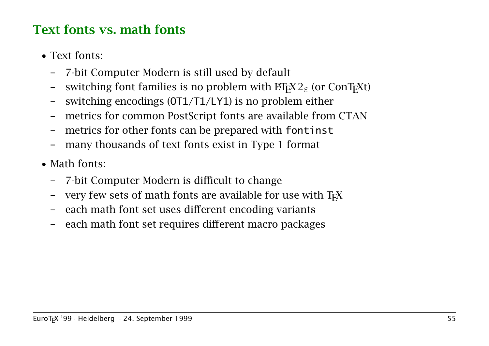## Text fonts vs. math fonts

- Text fonts:
	- 7-bit Computer Modern is still used by default
	- switching font families is no problem with  $\text{H}$ <sub>E</sub>X2<sub> $\epsilon$ </sub> (or ConT<sub>E</sub>Xt)
	- switching encodings  $(OT1/T1/LY1)$  is no problem either
	- metrics for common PostScript fonts are available from CTAN
	- metrics for other fonts can be prepared with fontinst
	- many thousands of text fonts exist in Type 1 format
- Math fonts:
	- 7-bit Computer Modern is difficult to change
	- very few sets of math fonts are available for use with T<sub>F</sub>X
	- each math font set uses different encoding variants
	- each math font set requires different macro packages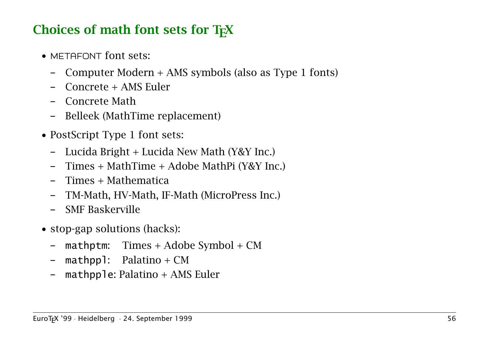# Choices of math font sets for  $T<sub>F</sub>X$

- METAFONT font sets:
	- Computer Modern + AMS symbols (also as Type 1 fonts)
	- Concrete + AMS Euler
	- Concrete Math
	- Belleek (MathTime replacement)
- PostScript Type 1 font sets:
	- Lucida Bright + Lucida New Math (Y&Y Inc.)
	- Times + MathTime + Adobe MathPi (Y&Y Inc.)
	- Times + Mathematica
	- TM-Math, HV-Math, IF-Math (MicroPress Inc.)
	- SMF Baskerville
- stop-gap solutions (hacks):
	- mathptm:  $Times + Adobe Symbol + CM$
	- $-$  mathppl: Palatino + CM
	- mathpple: Palatino  $+$  AMS Euler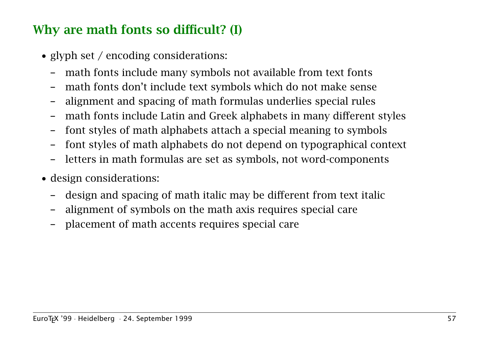# Why are math fonts so difficult? (I)

- glyph set / encoding considerations:
	- math fonts include many symbols not available from text fonts
	- math fonts don't include text symbols which do not make sense
	- alignment and spacing of math formulas underlies special rules
	- math fonts include Latin and Greek alphabets in many different styles
	- font styles of math alphabets attach a special meaning to symbols
	- font styles of math alphabets do not depend on typographical context
	- letters in math formulas are set as symbols, not word-components
- design considerations:
	- design and spacing of math italic may be different from text italic
	- alignment of symbols on the math axis requires special care
	- placement of math accents requires special care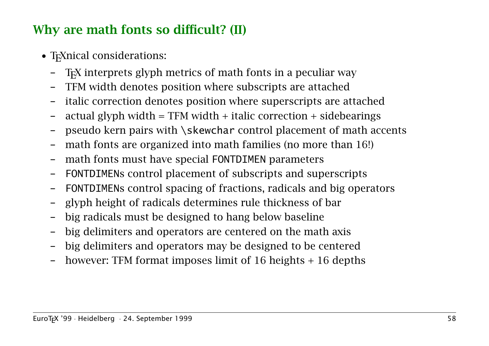# Why are math fonts so difficult? (II)

- T<sub>E</sub>Xnical considerations:
	- TEX interprets glyph metrics of math fonts in a peculiar way
	- TFM width denotes position where subscripts are attached
	- italic correction denotes position where superscripts are attached
	- actual glyph width =  $TFM$  width + italic correction + sidebearings
	- pseudo kern pairs with \skewchar control placement of math accents
	- math fonts are organized into math families (no more than 16!)
	- math fonts must have special FONTDIMEN parameters
	- FONTDIMENs control placement of subscripts and superscripts
	- FONTDIMENs control spacing of fractions, radicals and big operators
	- glyph height of radicals determines rule thickness of bar
	- big radicals must be designed to hang below baseline
	- big delimiters and operators are centered on the math axis
	- big delimiters and operators may be designed to be centered
	- however: TFM format imposes limit of 16 heights  $+$  16 depths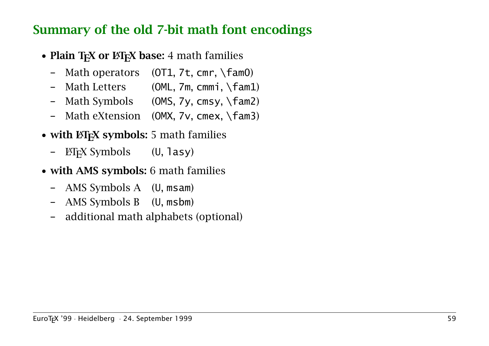#### Summary of the old 7-bit math font encodings

- Plain  $T_FX$  or  $\cancel{B}T_FX$  base: 4 math families
	- Math operators (OT1, 7t, cmr, \fam0)
	- Math Letters (OML, 7m, cmmi, \fam1)
	- Math Symbols (OMS, 7y, cmsy, \fam2)
	- Math eXtension (OMX, 7v, cmex, \fam3)
- with ET<sub>F</sub>X symbols: 5 math families
	- $\text{ETr} X$  Symbols (U, lasy)
- with AMS symbols: 6 math families
	- AMS Symbols A (U, msam)
	- AMS Symbols B (U, msbm)
	- additional math alphabets (optional)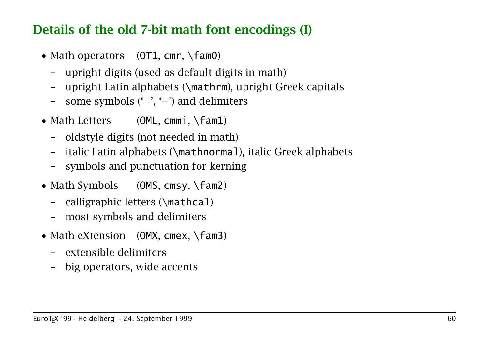#### Details of the old 7-bit math font encodings (I)

- Math operators  $(OT1, cmr, \text{tan}0)$ 
	- upright digits (used as default digits in math)
	- upright Latin alphabets (\mathrm), upright Greek capitals
	- some symbols  $(+', -')$  and delimiters
- Math Letters (OML, cmmi, \fam1)
	- oldstyle digits (not needed in math)
	- italic Latin alphabets (\mathnormal), italic Greek alphabets
	- symbols and punctuation for kerning
- Math Symbols (OMS, cmsy, \fam2)
	- calligraphic letters (\mathcal)
	- most symbols and delimiters
- Math eXtension (OMX, cmex, \fam3)
	- extensible delimiters
	- big operators, wide accents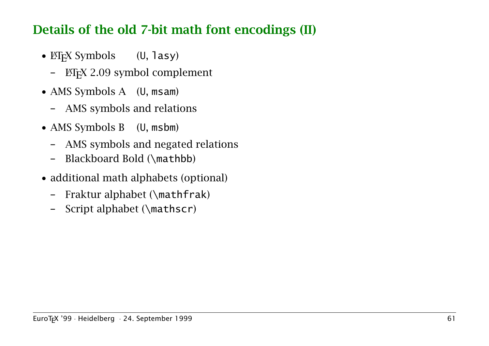#### Details of the old 7-bit math font encodings (II)

- $\mathbb{E} \mathbb{E} \{X \}$  Symbols (U, lasy)
	- LATEX 2.09 symbol complement
- AMS Symbols A (U, msam)
	- AMS symbols and relations
- AMS Symbols B (U, msbm)
	- AMS symbols and negated relations
	- Blackboard Bold (\mathbb)
- additional math alphabets (optional)
	- Fraktur alphabet (\mathfrak)
	- Script alphabet (\mathscr)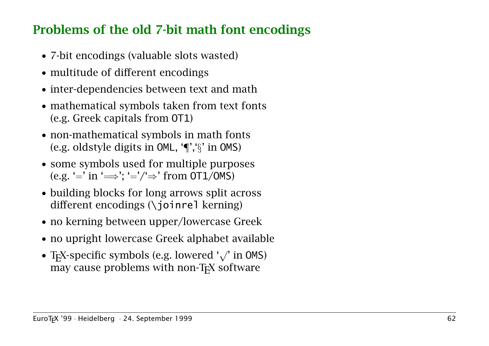## Problems of the old 7-bit math font encodings

- 7-bit encodings (valuable slots wasted)
- multitude of different encodings
- inter-dependencies between text and math
- mathematical symbols taken from text fonts (e.g. Greek capitals from OT1)
- non-mathematical symbols in math fonts (e.g. oldstyle digits in OML, '¶','§' in OMS)
- some symbols used for multiple purposes (e.g. '=' in ' $\Longrightarrow$ '; '='/' $\Rightarrow$ ' from 0T1/0MS)
- building blocks for long arrows split across different encodings (\joinrel kerning)
- no kerning between upper/lowercase Greek
- no upright lowercase Greek alphabet available
- TEX-specific symbols (e.g. lowered '<sup>√</sup> ' in OMS) may cause problems with non-T<sub>E</sub>X software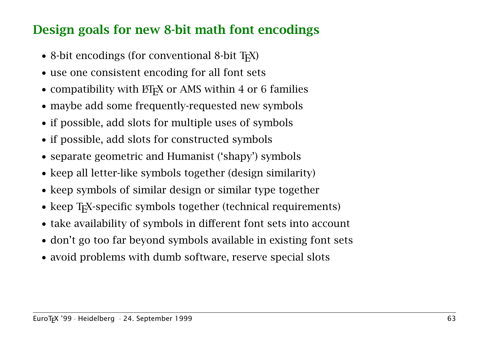#### Design goals for new 8-bit math font encodings

- 8-bit encodings (for conventional 8-bit  $T<sub>F</sub>X$ )
- use one consistent encoding for all font sets
- compatibility with  $\mathbb{H}$ <sub>F</sub>X or AMS within 4 or 6 families
- maybe add some frequently-requested new symbols
- if possible, add slots for multiple uses of symbols
- if possible, add slots for constructed symbols
- separate geometric and Humanist ('shapy') symbols
- keep all letter-like symbols together (design similarity)
- keep symbols of similar design or similar type together
- keep T<sub>F</sub>X-specific symbols together (technical requirements)
- take availability of symbols in different font sets into account
- don't go too far beyond symbols available in existing font sets
- avoid problems with dumb software, reserve special slots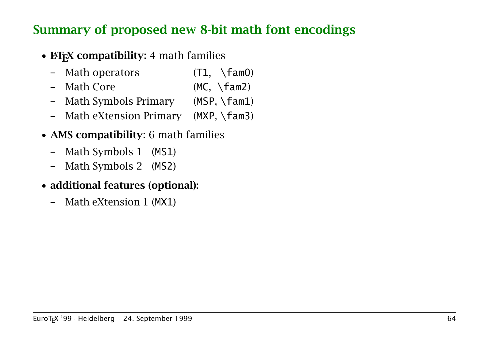#### Summary of proposed new 8-bit math font encodings

- EXTEX compatibility: 4 math families
	- Math operators (T1, \fam0)
	- Math Core (MC, \fam2)
	- Math Symbols Primary (MSP, \fam1)
	- Math eXtension Primary (MXP, \fam3)
- AMS compatibility: 6 math families
	- Math Symbols 1 (MS1)
	- Math Symbols 2 (MS2)
- additional features (optional):
	- Math eXtension 1 (MX1)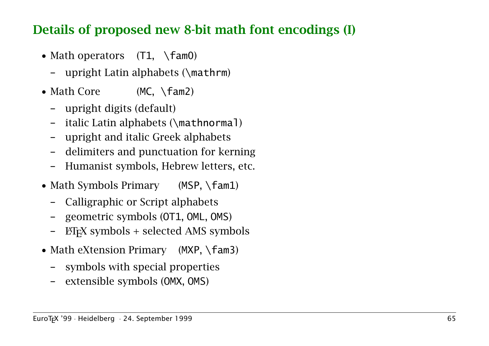#### Details of proposed new 8-bit math font encodings (I)

- Math operators  $(T1, \ \text{fam0})$ 
	- upright Latin alphabets (\mathrm)
- Math Core (MC, \fam2)
	- upright digits (default)
	- italic Latin alphabets (\mathnormal)
	- upright and italic Greek alphabets
	- delimiters and punctuation for kerning
	- Humanist symbols, Hebrew letters, etc.
- Math Symbols Primary (MSP, \fam1)
	- Calligraphic or Script alphabets
	- geometric symbols (OT1, OML, OMS)
	- $\Delta$ ET<sub>E</sub>X symbols + selected AMS symbols
- Math eXtension Primary (MXP, \fam3)
	- symbols with special properties
	- extensible symbols (OMX, OMS)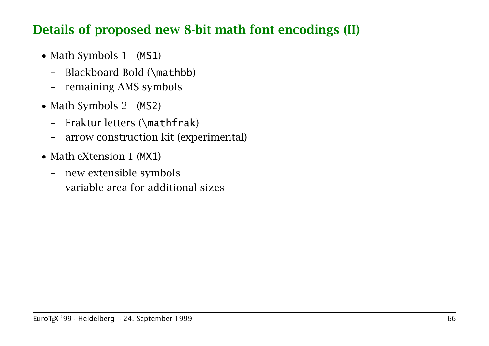#### Details of proposed new 8-bit math font encodings (II)

- Math Symbols 1 (MS1)
	- Blackboard Bold (\mathbb)
	- remaining AMS symbols
- Math Symbols 2 (MS2)
	- Fraktur letters (\mathfrak)
	- arrow construction kit (experimental)
- Math eXtension 1 (MX1)
	- new extensible symbols
	- variable area for additional sizes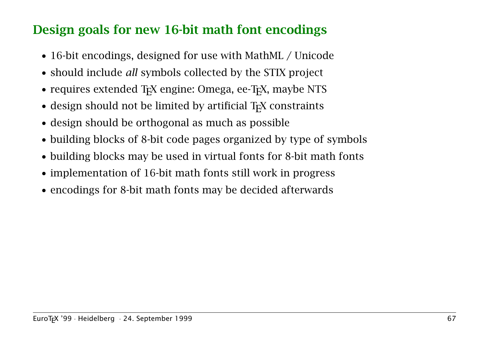## Design goals for new 16-bit math font encodings

- 16-bit encodings, designed for use with MathML / Unicode
- should include *all* symbols collected by the STIX project
- requires extended T<sub>F</sub>X engine: Omega, ee-T<sub>F</sub>X, maybe NTS
- design should not be limited by artificial T<sub>F</sub>X constraints
- design should be orthogonal as much as possible
- building blocks of 8-bit code pages organized by type of symbols
- building blocks may be used in virtual fonts for 8-bit math fonts
- implementation of 16-bit math fonts still work in progress
- encodings for 8-bit math fonts may be decided afterwards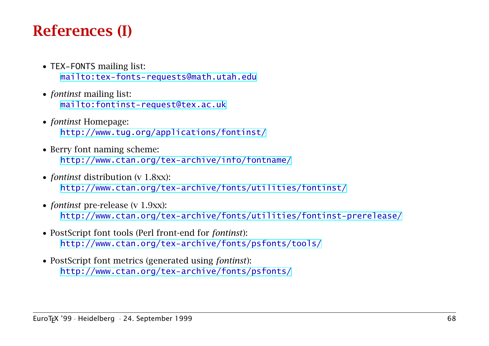# References (I)

- TEX-FONTS mailing list: <mailto:tex-fonts-requests@math.utah.edu>
- *fontinst* mailing list: <mailto:fontinst-request@tex.ac.uk>
- *fontinst* Homepage: <http://www.tug.org/applications/fontinst/>
- Berry font naming scheme: <http://www.ctan.org/tex-archive/info/fontname/>
- *fontinst* distribution (v 1.8xx): <http://www.ctan.org/tex-archive/fonts/utilities/fontinst/>
- *fontinst* pre-release (v 1.9xx): <http://www.ctan.org/tex-archive/fonts/utilities/fontinst-prerelease/>
- PostScript font tools (Perl front-end for *fontinst*): <http://www.ctan.org/tex-archive/fonts/psfonts/tools/>
- PostScript font metrics (generated using *fontinst*): <http://www.ctan.org/tex-archive/fonts/psfonts/>